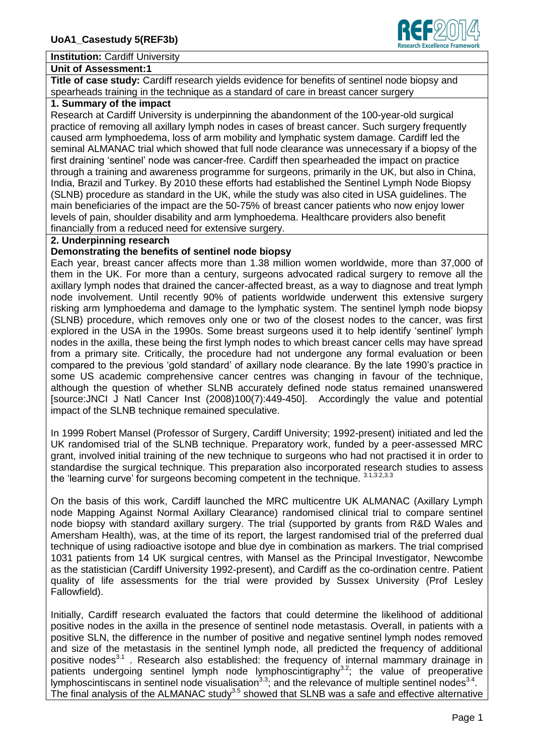#### **Institution:** Cardiff University

#### **Unit of Assessment:1**

**Title of case study:** Cardiff research yields evidence for benefits of sentinel node biopsy and spearheads training in the technique as a standard of care in breast cancer surgery

## **1. Summary of the impact**

Research at Cardiff University is underpinning the abandonment of the 100-year-old surgical practice of removing all axillary lymph nodes in cases of breast cancer. Such surgery frequently caused arm lymphoedema, loss of arm mobility and lymphatic system damage. Cardiff led the seminal ALMANAC trial which showed that full node clearance was unnecessary if a biopsy of the first draining 'sentinel' node was cancer-free. Cardiff then spearheaded the impact on practice through a training and awareness programme for surgeons, primarily in the UK, but also in China, India, Brazil and Turkey. By 2010 these efforts had established the Sentinel Lymph Node Biopsy (SLNB) procedure as standard in the UK, while the study was also cited in USA guidelines. The main beneficiaries of the impact are the 50-75% of breast cancer patients who now enjoy lower levels of pain, shoulder disability and arm lymphoedema. Healthcare providers also benefit financially from a reduced need for extensive surgery.

#### **2. Underpinning research**

#### **Demonstrating the benefits of sentinel node biopsy**

Each year, breast cancer affects more than 1.38 million women worldwide, more than 37,000 of them in the UK. For more than a century, surgeons advocated radical surgery to remove all the axillary lymph nodes that drained the cancer-affected breast, as a way to diagnose and treat lymph node involvement. Until recently 90% of patients worldwide underwent this extensive surgery risking arm lymphoedema and damage to the lymphatic system. The sentinel lymph node biopsy (SLNB) procedure, which removes only one or two of the closest nodes to the cancer, was first explored in the USA in the 1990s. Some breast surgeons used it to help identify 'sentinel' lymph nodes in the axilla, these being the first lymph nodes to which breast cancer cells may have spread from a primary site. Critically, the procedure had not undergone any formal evaluation or been compared to the previous 'gold standard' of axillary node clearance. By the late 1990's practice in some US academic comprehensive cancer centres was changing in favour of the technique, although the question of whether SLNB accurately defined node status remained unanswered [source:JNCI J Natl Cancer Inst (2008)100(7):449-450]. Accordingly the value and potential impact of the SLNB technique remained speculative.

In 1999 Robert Mansel (Professor of Surgery, Cardiff University; 1992-present) initiated and led the UK randomised trial of the SLNB technique. Preparatory work, funded by a peer-assessed MRC grant, involved initial training of the new technique to surgeons who had not practised it in order to standardise the surgical technique. This preparation also incorporated research studies to assess the 'learning curve' for surgeons becoming competent in the technique.  $3.1,3.2,3.3$ 

On the basis of this work, Cardiff launched the MRC multicentre UK ALMANAC (Axillary Lymph node Mapping Against Normal Axillary Clearance) randomised clinical trial to compare sentinel node biopsy with standard axillary surgery. The trial (supported by grants from R&D Wales and Amersham Health), was, at the time of its report, the largest randomised trial of the preferred dual technique of using radioactive isotope and blue dye in combination as markers. The trial comprised 1031 patients from 14 UK surgical centres, with Mansel as the Principal Investigator, Newcombe as the statistician (Cardiff University 1992-present), and Cardiff as the co-ordination centre. Patient quality of life assessments for the trial were provided by Sussex University (Prof Lesley Fallowfield).

Initially, Cardiff research evaluated the factors that could determine the likelihood of additional positive nodes in the axilla in the presence of sentinel node metastasis. Overall, in patients with a positive SLN, the difference in the number of positive and negative sentinel lymph nodes removed and size of the metastasis in the sentinel lymph node, all predicted the frequency of additional positive nodes<sup>3.1</sup>. Research also established: the frequency of internal mammary drainage in patients undergoing sentinel lymph node lymphoscintigraphy<sup>3.2</sup>; the value of preoperative lymphoscintiscans in sentinel node visualisation<sup>3.3</sup>; and the relevance of multiple sentinel nodes<sup>3.4</sup>. The final analysis of the ALMANAC study<sup>3.5</sup> showed that SLNB was a safe and effective alternative

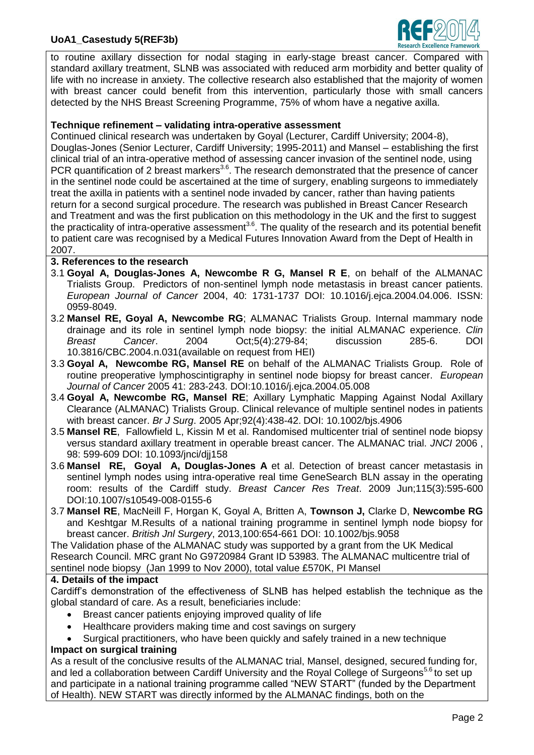# **UoA1\_Casestudy 5(REF3b)**



to routine axillary dissection for nodal staging in early-stage breast cancer. Compared with standard axillary treatment, SLNB was associated with reduced arm morbidity and better quality of life with no increase in anxiety. The collective research also established that the majority of women with breast cancer could benefit from this intervention, particularly those with small cancers detected by the NHS Breast Screening Programme, 75% of whom have a negative axilla.

### **Technique refinement – validating intra-operative assessment**

Continued clinical research was undertaken by Goyal (Lecturer, Cardiff University; 2004-8), Douglas-Jones (Senior Lecturer, Cardiff University; 1995-2011) and Mansel – establishing the first clinical trial of an intra-operative method of assessing cancer invasion of the sentinel node, using PCR quantification of 2 breast markers<sup>3.6</sup>. The research demonstrated that the presence of cancer in the sentinel node could be ascertained at the time of surgery, enabling surgeons to immediately treat the axilla in patients with a sentinel node invaded by cancer, rather than having patients return for a second surgical procedure. The research was published in Breast Cancer Research and Treatment and was the first publication on this methodology in the UK and the first to suggest the practicality of intra-operative assessment<sup>3.6</sup>. The quality of the research and its potential benefit to patient care was recognised by a Medical Futures Innovation Award from the Dept of Health in 2007.

### **3. References to the research**

- 3.1 **Goyal A, Douglas-Jones A, Newcombe R G, Mansel R E**, on behalf of the ALMANAC Trialists Group. Predictors of non-sentinel lymph node metastasis in breast cancer patients. *European Journal of Cancer* 2004, 40: 1731-1737 DOI: 10.1016/j.ejca.2004.04.006. ISSN: 0959-8049.
- 3.2 **Mansel RE, Goyal A, Newcombe RG**; ALMANAC Trialists Group. Internal mammary node drainage and its role in sentinel lymph node biopsy: the initial ALMANAC experience. *Clin Breast Cancer*. 2004 Oct;5(4):279-84; discussion 285-6. DOI 10.3816/CBC.2004.n.031(available on request from HEI)
- 3.3 **Goyal A, Newcombe RG, Mansel RE** on behalf of the ALMANAC Trialists Group. Role of routine preoperative lymphoscintigraphy in sentinel node biopsy for breast cancer. *European Journal of Cancer* 2005 41: 283-243. DOI:10.1016/j.ejca.2004.05.008
- 3.4 **Goyal A, Newcombe RG, Mansel RE**; Axillary Lymphatic Mapping Against Nodal Axillary Clearance (ALMANAC) Trialists Group. Clinical relevance of multiple sentinel nodes in patients with breast cancer. *Br J Surg*. 2005 Apr;92(4):438-42. DOI: 10.1002/bjs.4906
- 3.5 **Mansel RE**, Fallowfield L, Kissin M et al. Randomised multicenter trial of sentinel node biopsy versus standard axillary treatment in operable breast cancer. The ALMANAC trial. *JNCI* 2006 , 98: 599-609 DOI: 10.1093/jnci/djj158
- 3.6 **Mansel RE, Goyal A, Douglas-Jones A** et al. Detection of breast cancer metastasis in sentinel lymph nodes using intra-operative real time GeneSearch BLN assay in the operating room: results of the Cardiff study. *Breast Cancer Res Treat*. 2009 Jun;115(3):595-600 DOI:10.1007/s10549-008-0155-6
- 3.7 **Mansel RE**, MacNeill F, Horgan K, Goyal A, Britten A, **Townson J,** Clarke D, **Newcombe RG** and Keshtgar M.Results of a national training programme in sentinel lymph node biopsy for breast cancer. *British Jnl Surgery*, 2013,100:654-661 DOI: 10.1002/bjs.9058

The Validation phase of the ALMANAC study was supported by a grant from the UK Medical Research Council. MRC grant No G9720984 Grant ID 53983. The ALMANAC multicentre trial of sentinel node biopsy (Jan 1999 to Nov 2000), total value £570K, PI Mansel

### **4. Details of the impact**

Cardiff's demonstration of the effectiveness of SLNB has helped establish the technique as the global standard of care. As a result, beneficiaries include:

- Breast cancer patients enjoying improved quality of life
- Healthcare providers making time and cost savings on surgery
- Surgical practitioners, who have been quickly and safely trained in a new technique **Impact on surgical training**

As a result of the conclusive results of the ALMANAC trial, Mansel, designed, secured funding for, and led a collaboration between Cardiff University and the Royal College of Surgeons<sup>5.6</sup> to set up and participate in a national training programme called "NEW START" (funded by the Department of Health). NEW START was directly informed by the ALMANAC findings, both on the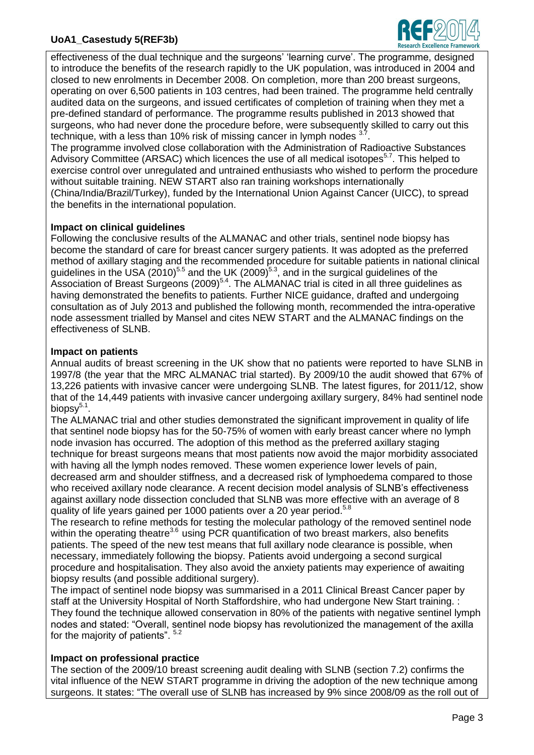# **UoA1\_Casestudy 5(REF3b)**



effectiveness of the dual technique and the surgeons' 'learning curve'. The programme, designed to introduce the benefits of the research rapidly to the UK population, was introduced in 2004 and closed to new enrolments in December 2008. On completion, more than 200 breast surgeons, operating on over 6,500 patients in 103 centres, had been trained. The programme held centrally audited data on the surgeons, and issued certificates of completion of training when they met a pre-defined standard of performance. The programme results published in 2013 showed that surgeons, who had never done the procedure before, were subsequently skilled to carry out this technique, with a less than 10% risk of missing cancer in lymph nodes  $37$ .

The programme involved close collaboration with the Administration of Radioactive Substances Advisory Committee (ARSAC) which licences the use of all medical isotopes<sup>5.7</sup>. This helped to exercise control over unregulated and untrained enthusiasts who wished to perform the procedure without suitable training. NEW START also ran training workshops internationally (China/India/Brazil/Turkey), funded by the International Union Against Cancer (UICC), to spread the benefits in the international population.

## **Impact on clinical guidelines**

Following the conclusive results of the ALMANAC and other trials, sentinel node biopsy has become the standard of care for breast cancer surgery patients. It was adopted as the preferred method of axillary staging and the recommended procedure for suitable patients in national clinical guidelines in the USA  $(2010)^{5.5}$  and the UK  $(2009)^{5.3}$ , and in the surgical guidelines of the Association of Breast Surgeons  $(2009)^{5.4}$ . The ALMANAC trial is cited in all three guidelines as having demonstrated the benefits to patients. Further NICE guidance, drafted and undergoing consultation as of July 2013 and published the following month, recommended the intra-operative node assessment trialled by Mansel and cites NEW START and the ALMANAC findings on the effectiveness of SLNB.

# **Impact on patients**

Annual audits of breast screening in the UK show that no patients were reported to have SLNB in 1997/8 (the year that the MRC ALMANAC trial started). By 2009/10 the audit showed that 67% of 13,226 patients with invasive cancer were undergoing SLNB. The latest figures, for 2011/12, show that of the 14,449 patients with invasive cancer undergoing axillary surgery, 84% had sentinel node biopsy $^{5.1}$ .

The ALMANAC trial and other studies demonstrated the significant improvement in quality of life that sentinel node biopsy has for the 50-75% of women with early breast cancer where no lymph node invasion has occurred. The adoption of this method as the preferred axillary staging technique for breast surgeons means that most patients now avoid the major morbidity associated with having all the lymph nodes removed. These women experience lower levels of pain, decreased arm and shoulder stiffness, and a decreased risk of lymphoedema compared to those who received axillary node clearance. A recent decision model analysis of SLNB's effectiveness against axillary node dissection concluded that SLNB was more effective with an average of 8 quality of life years gained per 1000 patients over a 20 year period.<sup>5.8</sup>

The research to refine methods for testing the molecular pathology of the removed sentinel node within the operating theatre<sup>3.6</sup> using PCR quantification of two breast markers, also benefits patients. The speed of the new test means that full axillary node clearance is possible, when necessary, immediately following the biopsy. Patients avoid undergoing a second surgical procedure and hospitalisation. They also avoid the anxiety patients may experience of awaiting biopsy results (and possible additional surgery).

The impact of sentinel node biopsy was summarised in a 2011 Clinical Breast Cancer paper by staff at the University Hospital of North Staffordshire, who had undergone New Start training. : They found the technique allowed conservation in 80% of the patients with negative sentinel lymph nodes and stated: "Overall, sentinel node biopsy has revolutionized the management of the axilla for the majority of patients".  $5.2$ 

# **Impact on professional practice**

The section of the 2009/10 breast screening audit dealing with SLNB (section 7.2) confirms the vital influence of the NEW START programme in driving the adoption of the new technique among surgeons. It states: "The overall use of SLNB has increased by 9% since 2008/09 as the roll out of